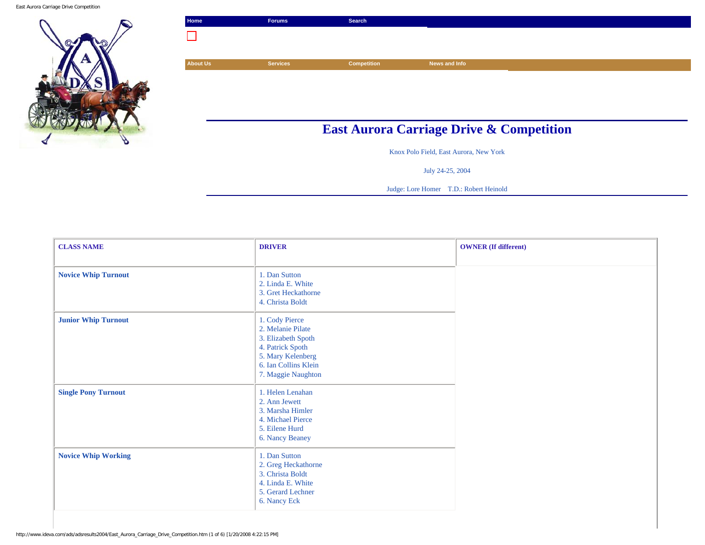East Aurora Carriage Drive Competition



| Home                                                | <b>Forums</b>   | Search             |               |  |
|-----------------------------------------------------|-----------------|--------------------|---------------|--|
|                                                     |                 |                    |               |  |
|                                                     |                 |                    |               |  |
| <b>About Us</b>                                     | <b>Services</b> | <b>Competition</b> | News and Info |  |
|                                                     |                 |                    |               |  |
|                                                     |                 |                    |               |  |
|                                                     |                 |                    |               |  |
| <b>East Aurora Carriage Drive &amp; Competition</b> |                 |                    |               |  |

Knox Polo Field, East Aurora, New York

July 24-25, 2004

Judge: Lore Homer T.D.: Robert Heinold

| <b>CLASS NAME</b>          | <b>DRIVER</b>                                                                                                                                    | <b>OWNER</b> (If different) |
|----------------------------|--------------------------------------------------------------------------------------------------------------------------------------------------|-----------------------------|
| <b>Novice Whip Turnout</b> | 1. Dan Sutton<br>2. Linda E. White<br>3. Gret Heckathorne<br>4. Christa Boldt                                                                    |                             |
| <b>Junior Whip Turnout</b> | 1. Cody Pierce<br>2. Melanie Pilate<br>3. Elizabeth Spoth<br>4. Patrick Spoth<br>5. Mary Kelenberg<br>6. Ian Collins Klein<br>7. Maggie Naughton |                             |
| <b>Single Pony Turnout</b> | 1. Helen Lenahan<br>2. Ann Jewett<br>3. Marsha Himler<br>4. Michael Pierce<br>5. Eilene Hurd<br>6. Nancy Beaney                                  |                             |
| <b>Novice Whip Working</b> | 1. Dan Sutton<br>2. Greg Heckathorne<br>3. Christa Boldt<br>4. Linda E. White<br>5. Gerard Lechner<br>6. Nancy Eck                               |                             |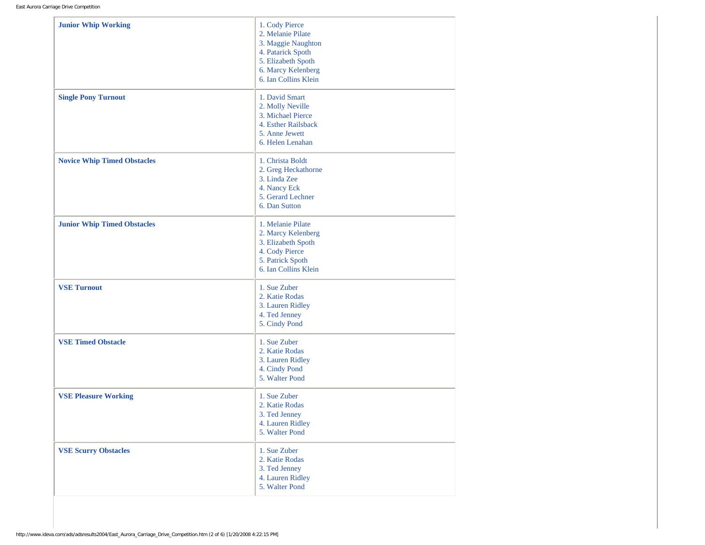| <b>Junior Whip Working</b>         | 1. Cody Pierce<br>2. Melanie Pilate<br>3. Maggie Naughton<br>4. Patarick Spoth<br>5. Elizabeth Spoth<br>6. Marcy Kelenberg<br>6. Ian Collins Klein |
|------------------------------------|----------------------------------------------------------------------------------------------------------------------------------------------------|
| <b>Single Pony Turnout</b>         | 1. David Smart<br>2. Molly Neville<br>3. Michael Pierce<br>4. Esther Railsback<br>5. Anne Jewett<br>6. Helen Lenahan                               |
| <b>Novice Whip Timed Obstacles</b> | 1. Christa Boldt<br>2. Greg Heckathorne<br>3. Linda Zee<br>4. Nancy Eck<br>5. Gerard Lechner<br>6. Dan Sutton                                      |
| <b>Junior Whip Timed Obstacles</b> | 1. Melanie Pilate<br>2. Marcy Kelenberg<br>3. Elizabeth Spoth<br>4. Cody Pierce<br>5. Patrick Spoth<br>6. Ian Collins Klein                        |
| <b>VSE Turnout</b>                 | 1. Sue Zuber<br>2. Katie Rodas<br>3. Lauren Ridley<br>4. Ted Jenney<br>5. Cindy Pond                                                               |
| <b>VSE Timed Obstacle</b>          | 1. Sue Zuber<br>2. Katie Rodas<br>3. Lauren Ridley<br>4. Cindy Pond<br>5. Walter Pond                                                              |
| <b>VSE Pleasure Working</b>        | 1. Sue Zuber<br>2. Katie Rodas<br>3. Ted Jenney<br>4. Lauren Ridley<br>5. Walter Pond                                                              |
| <b>VSE Scurry Obstacles</b>        | 1. Sue Zuber<br>2. Katie Rodas<br>3. Ted Jenney<br>4. Lauren Ridley<br>5. Walter Pond                                                              |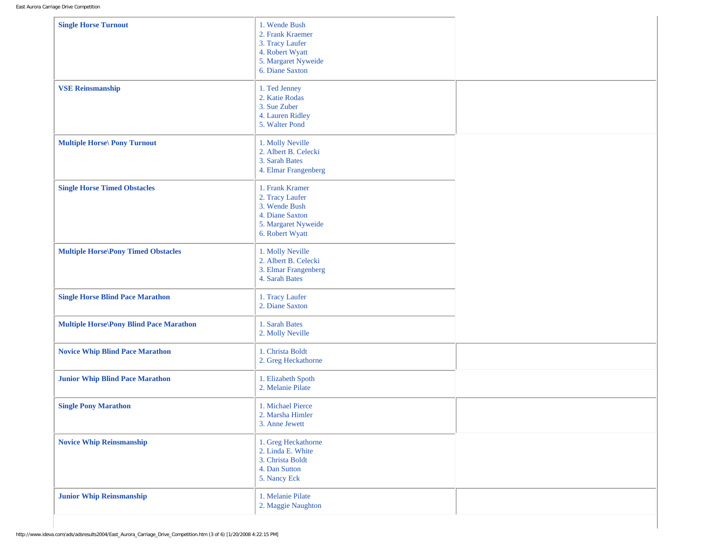| <b>Single Horse Turnout</b>                    | 1. Wende Bush<br>2. Frank Kraemer<br>3. Tracy Laufer<br>4. Robert Wyatt<br>5. Margaret Nyweide<br>6. Diane Saxton |  |
|------------------------------------------------|-------------------------------------------------------------------------------------------------------------------|--|
| <b>VSE Reinsmanship</b>                        | 1. Ted Jenney<br>2. Katie Rodas<br>3. Sue Zuber<br>4. Lauren Ridley<br>5. Walter Pond                             |  |
| <b>Multiple Horse</b> \ Pony Turnout           | 1. Molly Neville<br>2. Albert B. Celecki<br>3. Sarah Bates<br>4. Elmar Frangenberg                                |  |
| <b>Single Horse Timed Obstacles</b>            | 1. Frank Kramer<br>2. Tracy Laufer<br>3. Wende Bush<br>4. Diane Saxton<br>5. Margaret Nyweide<br>6. Robert Wyatt  |  |
| <b>Multiple Horse\Pony Timed Obstacles</b>     | 1. Molly Neville<br>2. Albert B. Celecki<br>3. Elmar Frangenberg<br>4. Sarah Bates                                |  |
| <b>Single Horse Blind Pace Marathon</b>        | 1. Tracy Laufer<br>2. Diane Saxton                                                                                |  |
| <b>Multiple Horse\Pony Blind Pace Marathon</b> | 1. Sarah Bates<br>2. Molly Neville                                                                                |  |
| <b>Novice Whip Blind Pace Marathon</b>         | 1. Christa Boldt<br>2. Greg Heckathorne                                                                           |  |
| <b>Junior Whip Blind Pace Marathon</b>         | 1. Elizabeth Spoth<br>2. Melanie Pilate                                                                           |  |
| <b>Single Pony Marathon</b>                    | 1. Michael Pierce<br>2. Marsha Himler<br>3. Anne Jewett                                                           |  |
| <b>Novice Whip Reinsmanship</b>                | 1. Greg Heckathorne<br>2. Linda E. White<br>3. Christa Boldt<br>4. Dan Sutton<br>5. Nancy Eck                     |  |
| <b>Junior Whip Reinsmanship</b>                | 1. Melanie Pilate<br>2. Maggie Naughton                                                                           |  |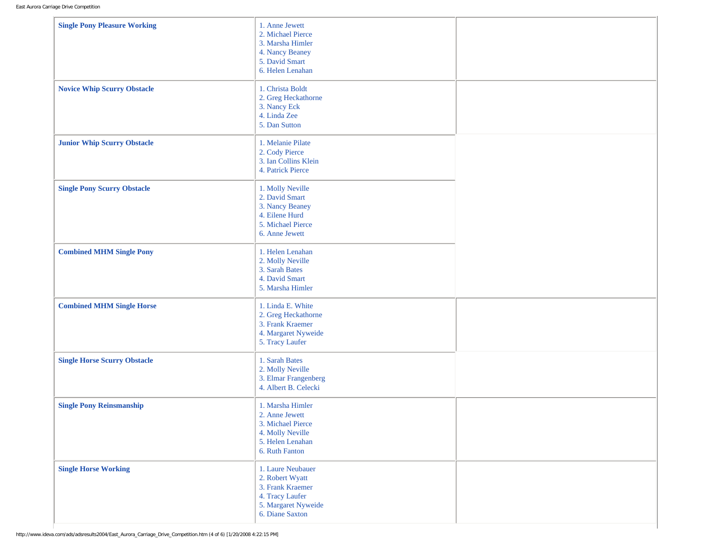| <b>Single Pony Pleasure Working</b> | 1. Anne Jewett<br>2. Michael Pierce<br>3. Marsha Himler<br>4. Nancy Beaney<br>5. David Smart<br>6. Helen Lenahan      |  |
|-------------------------------------|-----------------------------------------------------------------------------------------------------------------------|--|
| <b>Novice Whip Scurry Obstacle</b>  | 1. Christa Boldt<br>2. Greg Heckathorne<br>3. Nancy Eck<br>4. Linda Zee<br>5. Dan Sutton                              |  |
| <b>Junior Whip Scurry Obstacle</b>  | 1. Melanie Pilate<br>2. Cody Pierce<br>3. Ian Collins Klein<br>4. Patrick Pierce                                      |  |
| <b>Single Pony Scurry Obstacle</b>  | 1. Molly Neville<br>2. David Smart<br>3. Nancy Beaney<br>4. Eilene Hurd<br>5. Michael Pierce<br>6. Anne Jewett        |  |
| <b>Combined MHM Single Pony</b>     | 1. Helen Lenahan<br>2. Molly Neville<br>3. Sarah Bates<br>4. David Smart<br>5. Marsha Himler                          |  |
| <b>Combined MHM Single Horse</b>    | 1. Linda E. White<br>2. Greg Heckathorne<br>3. Frank Kraemer<br>4. Margaret Nyweide<br>5. Tracy Laufer                |  |
| <b>Single Horse Scurry Obstacle</b> | 1. Sarah Bates<br>2. Molly Neville<br>3. Elmar Frangenberg<br>4. Albert B. Celecki                                    |  |
| <b>Single Pony Reinsmanship</b>     | 1. Marsha Himler<br>2. Anne Jewett<br>3. Michael Pierce<br>4. Molly Neville<br>5. Helen Lenahan<br>6. Ruth Fanton     |  |
| <b>Single Horse Working</b>         | 1. Laure Neubauer<br>2. Robert Wyatt<br>3. Frank Kraemer<br>4. Tracy Laufer<br>5. Margaret Nyweide<br>6. Diane Saxton |  |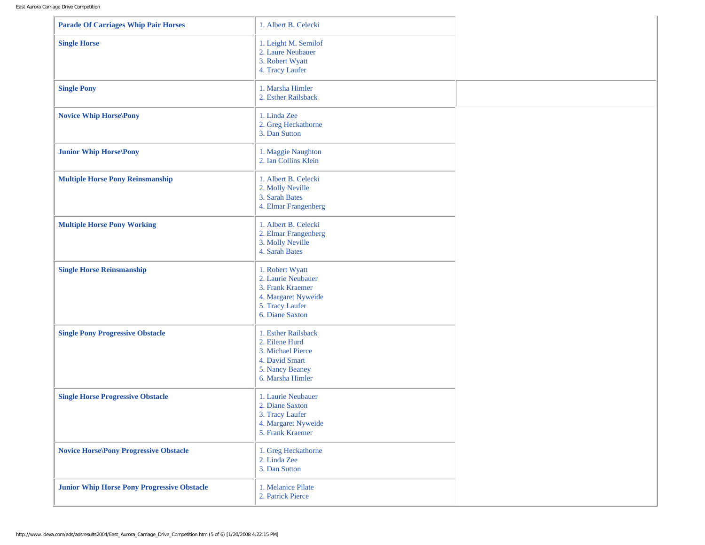| <b>Parade Of Carriages Whip Pair Horses</b>        | 1. Albert B. Celecki                                                                                                   |  |
|----------------------------------------------------|------------------------------------------------------------------------------------------------------------------------|--|
| <b>Single Horse</b>                                | 1. Leight M. Semilof<br>2. Laure Neubauer<br>3. Robert Wyatt<br>4. Tracy Laufer                                        |  |
| <b>Single Pony</b>                                 | 1. Marsha Himler<br>2. Esther Railsback                                                                                |  |
| <b>Novice Whip Horse Pony</b>                      | 1. Linda Zee<br>2. Greg Heckathorne<br>3. Dan Sutton                                                                   |  |
| <b>Junior Whip Horse</b> \Pony                     | 1. Maggie Naughton<br>2. Ian Collins Klein                                                                             |  |
| <b>Multiple Horse Pony Reinsmanship</b>            | 1. Albert B. Celecki<br>2. Molly Neville<br>3. Sarah Bates<br>4. Elmar Frangenberg                                     |  |
| <b>Multiple Horse Pony Working</b>                 | 1. Albert B. Celecki<br>2. Elmar Frangenberg<br>3. Molly Neville<br>4. Sarah Bates                                     |  |
| <b>Single Horse Reinsmanship</b>                   | 1. Robert Wyatt<br>2. Laurie Neubauer<br>3. Frank Kraemer<br>4. Margaret Nyweide<br>5. Tracy Laufer<br>6. Diane Saxton |  |
| <b>Single Pony Progressive Obstacle</b>            | 1. Esther Railsback<br>2. Eilene Hurd<br>3. Michael Pierce<br>4. David Smart<br>5. Nancy Beaney<br>6. Marsha Himler    |  |
| <b>Single Horse Progressive Obstacle</b>           | 1. Laurie Neubauer<br>2. Diane Saxton<br>3. Tracy Laufer<br>4. Margaret Nyweide<br>5. Frank Kraemer                    |  |
| <b>Novice Horse Pony Progressive Obstacle</b>      | 1. Greg Heckathorne<br>2. Linda Zee<br>3. Dan Sutton                                                                   |  |
| <b>Junior Whip Horse Pony Progressive Obstacle</b> | 1. Melanice Pilate<br>2. Patrick Pierce                                                                                |  |

 $\mathbf{r}$